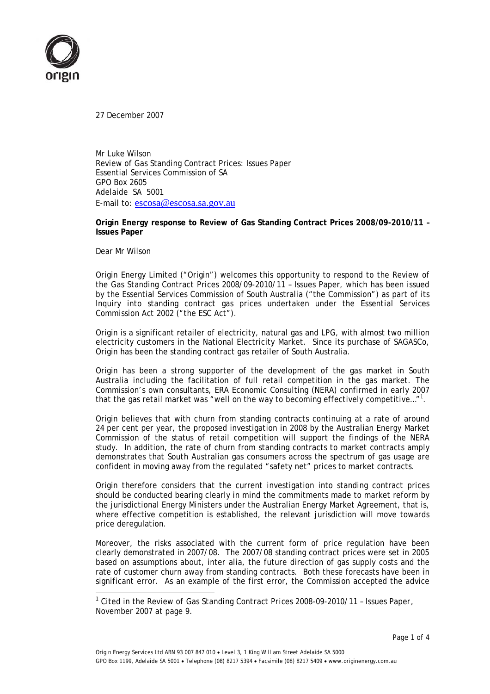

27 December 2007

Mr Luke Wilson Review of Gas Standing Contract Prices: Issues Paper Essential Services Commission of SA GPO Box 2605 Adelaide SA 5001 E-mail to: escosa@escosa.sa.gov.au

**Origin Energy response to Review of Gas Standing Contract Prices 2008/09-2010/11 – Issues Paper** 

Dear Mr Wilson

l

Origin Energy Limited ("Origin") welcomes this opportunity to respond to the Review of the Gas Standing Contract Prices 2008/09-2010/11 – Issues Paper, which has been issued by the Essential Services Commission of South Australia ("the Commission") as part of its Inquiry into standing contract gas prices undertaken under the *Essential Services Commission Act 2002* ("the ESC Act").

Origin is a significant retailer of electricity, natural gas and LPG, with almost two million electricity customers in the National Electricity Market. Since its purchase of SAGASCo, Origin has been the standing contract gas retailer of South Australia.

Origin has been a strong supporter of the development of the gas market in South Australia including the facilitation of full retail competition in the gas market. The Commission's own consultants, ERA Economic Consulting (NERA) confirmed in early 2007 that the gas retail market was "well on the way to becoming effectively competitive..."<sup>1</sup>.

Origin believes that with churn from standing contracts continuing at a rate of around 24 per cent per year, the proposed investigation in 2008 by the Australian Energy Market Commission of the status of retail competition will support the findings of the NERA study. In addition, the rate of churn from standing contracts to market contracts amply demonstrates that South Australian gas consumers across the spectrum of gas usage are confident in moving away from the regulated "safety net" prices to market contracts.

Origin therefore considers that the current investigation into standing contract prices should be conducted bearing clearly in mind the commitments made to market reform by the jurisdictional Energy Ministers under the Australian Energy Market Agreement, that is, where effective competition is established, the relevant jurisdiction will move towards price deregulation.

Moreover, the risks associated with the current form of price regulation have been clearly demonstrated in 2007/08. The 2007/08 standing contract prices were set in 2005 based on assumptions about, inter alia, the future direction of gas supply costs and the rate of customer churn away from standing contracts. Both these forecasts have been in significant error. As an example of the first error, the Commission accepted the advice

<sup>1</sup> Cited in the *Review of Gas Standing Contract Prices 2008-09-2010/11 – Issues Paper*, November 2007 at page 9.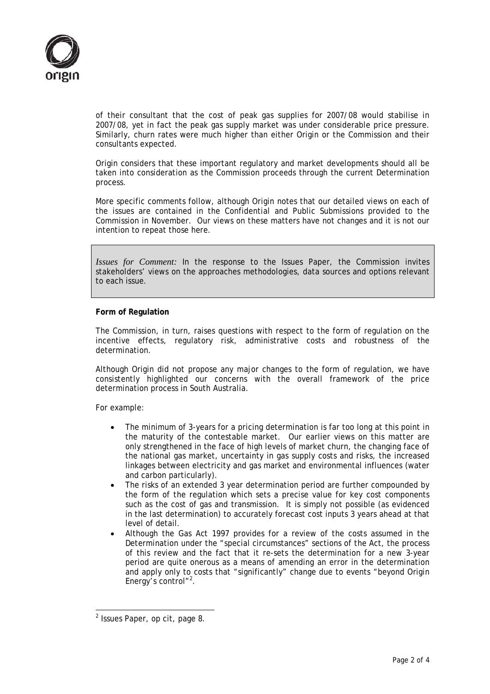

of their consultant that the cost of peak gas supplies for 2007/08 would stabilise in 2007/08, yet in fact the peak gas supply market was under considerable price pressure. Similarly, churn rates were much higher than either Origin or the Commission and their consultants expected.

Origin considers that these important regulatory and market developments should all be taken into consideration as the Commission proceeds through the current Determination process.

More specific comments follow, although Origin notes that our detailed views on each of the issues are contained in the Confidential and Public Submissions provided to the Commission in November. Our views on these matters have not changes and it is not our intention to repeat those here.

*Issues for Comment:* In the response to the Issues Paper, the Commission invites stakeholders' views on the approaches methodologies, data sources and options relevant to each issue.

## **Form of Regulation**

The Commission, in turn, raises questions with respect to the form of regulation on the incentive effects, regulatory risk, administrative costs and robustness of the determination.

Although Origin did not propose any major changes to the form of regulation, we have consistently highlighted our concerns with the overall framework of the price determination process in South Australia.

For example:

- The minimum of 3-years for a pricing determination is far too long at this point in the maturity of the contestable market. Our earlier views on this matter are only strengthened in the face of high levels of market churn, the changing face of the national gas market, uncertainty in gas supply costs and risks, the increased linkages between electricity and gas market and environmental influences (water and carbon particularly).
- The risks of an extended 3 year determination period are further compounded by the form of the regulation which sets a precise value for key cost components such as the cost of gas and transmission. It is simply not possible (as evidenced in the last determination) to accurately forecast cost inputs 3 years ahead at that level of detail.
- Although the *Gas Act 1997* provides for a review of the costs assumed in the Determination under the "special circumstances" sections of the Act, the process of this review and the fact that it re-sets the determination for a new 3-year period are quite onerous as a means of amending an error in the determination and apply only to costs that "significantly" change due to events "beyond Origin Energy's control"<sup>2</sup>.

l

 $2$  Issues Paper, op cit, page 8.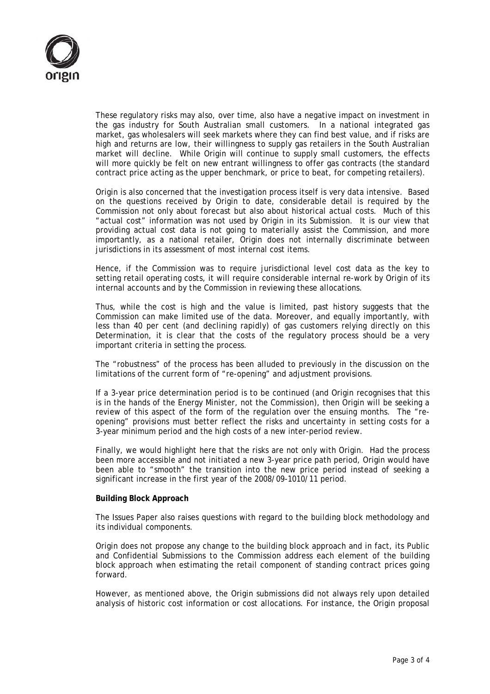

These regulatory risks may also, over time, also have a negative impact on investment in the gas industry for South Australian small customers. In a national integrated gas market, gas wholesalers will seek markets where they can find best value, and if risks are high and returns are low, their willingness to supply gas retailers in the South Australian market will decline. While Origin will continue to supply small customers, the effects will more quickly be felt on new entrant willingness to offer gas contracts (the standard contract price acting as the upper benchmark, or price to beat, for competing retailers).

Origin is also concerned that the investigation process itself is very data intensive. Based on the questions received by Origin to date, considerable detail is required by the Commission not only about forecast but also about historical actual costs. Much of this "actual cost" information was not used by Origin in its Submission. It is our view that providing actual cost data is not going to materially assist the Commission, and more importantly, as a national retailer, Origin does not internally discriminate between jurisdictions in its assessment of most internal cost items.

Hence, if the Commission was to require jurisdictional level cost data as the key to setting retail operating costs, it will require considerable internal re-work by Origin of its internal accounts and by the Commission in reviewing these allocations.

Thus, while the cost is high and the value is limited, past history suggests that the Commission can make limited use of the data. Moreover, and equally importantly, with less than 40 per cent (and declining rapidly) of gas customers relying directly on this Determination, it is clear that the costs of the regulatory process should be a very important criteria in setting the process.

The "robustness" of the process has been alluded to previously in the discussion on the limitations of the current form of "re-opening" and adjustment provisions.

If a 3-year price determination period is to be continued (and Origin recognises that this is in the hands of the Energy Minister, not the Commission), then Origin will be seeking a review of this aspect of the form of the regulation over the ensuing months. The "reopening" provisions must better reflect the risks and uncertainty in setting costs for a 3-year minimum period and the high costs of a new inter-period review.

Finally, we would highlight here that the risks are not only with Origin. Had the process been more accessible and not initiated a new 3-year price path period, Origin would have been able to "smooth" the transition into the new price period instead of seeking a significant increase in the first year of the 2008/09-1010/11 period.

## **Building Block Approach**

The Issues Paper also raises questions with regard to the building block methodology and its individual components.

Origin does not propose any change to the building block approach and in fact, its Public and Confidential Submissions to the Commission address each element of the building block approach when estimating the retail component of standing contract prices going forward.

However, as mentioned above, the Origin submissions did not always rely upon detailed analysis of historic cost information or cost allocations. For instance, the Origin proposal